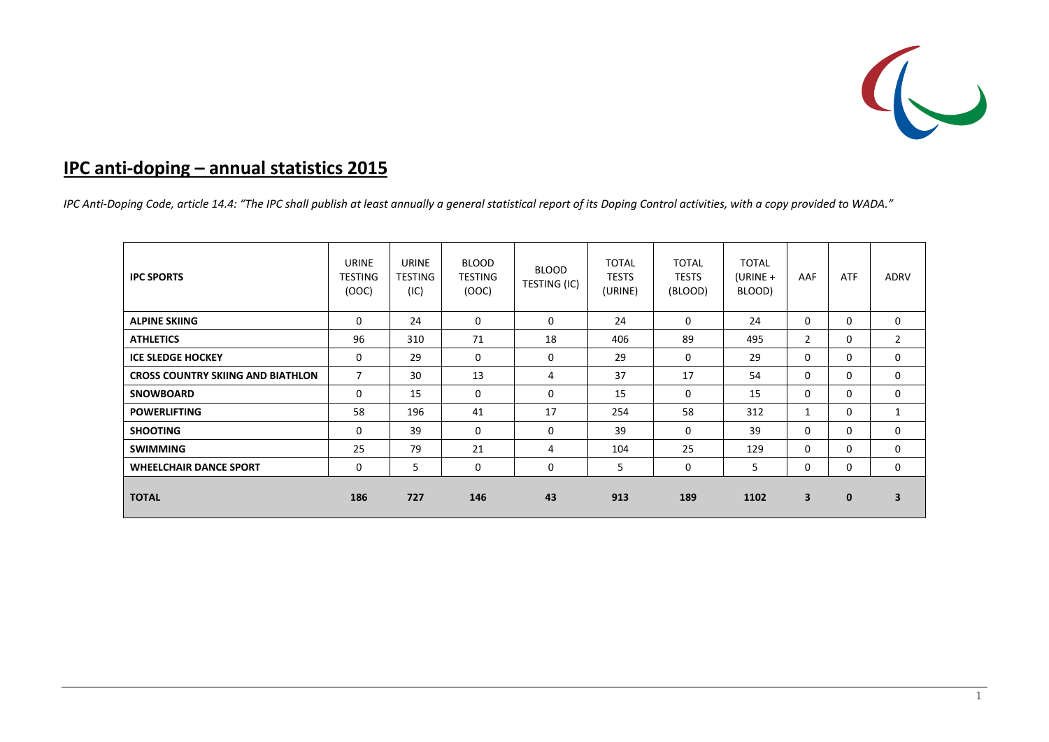

# **IPC anti‐doping – annual statistics 2015**

IPC Anti-Doping Code, article 14.4: "The IPC shall publish at least annually a general statistical report of its Doping Control activities, with a copy provided to WADA."

| <b>IPC SPORTS</b>                        | URINE<br><b>TESTING</b><br>(OOC) | URINE<br><b>TESTING</b><br>(IC) | <b>BLOOD</b><br>TESTING<br>(OOC) | <b>BLOOD</b><br>TESTING (IC) | <b>TOTAL</b><br><b>TESTS</b><br>(URINE) | <b>TOTAL</b><br><b>TESTS</b><br>(BLOOD) | <b>TOTAL</b><br>(URINE $+$<br>BLOOD) | AAF            | ATF          | <b>ADRV</b>    |
|------------------------------------------|----------------------------------|---------------------------------|----------------------------------|------------------------------|-----------------------------------------|-----------------------------------------|--------------------------------------|----------------|--------------|----------------|
| <b>ALPINE SKIING</b>                     | 0                                | 24                              | $\mathbf 0$                      | $\mathbf 0$                  | 24                                      | $\Omega$                                | 24                                   | $\Omega$       | $\Omega$     | $\mathbf 0$    |
| <b>ATHLETICS</b>                         | 96                               | 310                             | 71                               | 18                           | 406                                     | 89                                      | 495                                  | $\overline{2}$ | $\Omega$     | $\overline{2}$ |
| <b>ICE SLEDGE HOCKEY</b>                 | 0                                | 29                              | 0                                | 0                            | 29                                      | $\Omega$                                | 29                                   | $\Omega$       | $\Omega$     | $\mathbf 0$    |
| <b>CROSS COUNTRY SKIING AND BIATHLON</b> | $\overline{7}$                   | 30                              | 13                               | 4                            | 37                                      | 17                                      | 54                                   | $\Omega$       | $\Omega$     | $\Omega$       |
| <b>SNOWBOARD</b>                         | 0                                | 15                              | $\mathbf 0$                      | 0                            | 15                                      | $\Omega$                                | 15                                   | $\Omega$       | $\Omega$     | $\mathbf 0$    |
| <b>POWERLIFTING</b>                      | 58                               | 196                             | 41                               | 17                           | 254                                     | 58                                      | 312                                  | 1              | 0            | 1              |
| <b>SHOOTING</b>                          | 0                                | 39                              | $\mathbf 0$                      | 0                            | 39                                      | $\mathbf 0$                             | 39                                   | $\Omega$       | 0            | 0              |
| <b>SWIMMING</b>                          | 25                               | 79                              | 21                               | 4                            | 104                                     | 25                                      | 129                                  | 0              | $\Omega$     | $\mathbf{0}$   |
| <b>WHEELCHAIR DANCE SPORT</b>            | 0                                | 5                               | 0                                | 0                            | 5                                       | 0                                       | 5                                    | 0              | 0            | $\mathbf 0$    |
| <b>TOTAL</b>                             | 186                              | 727                             | 146                              | 43                           | 913                                     | 189                                     | 1102                                 | 3              | $\mathbf{0}$ | 3              |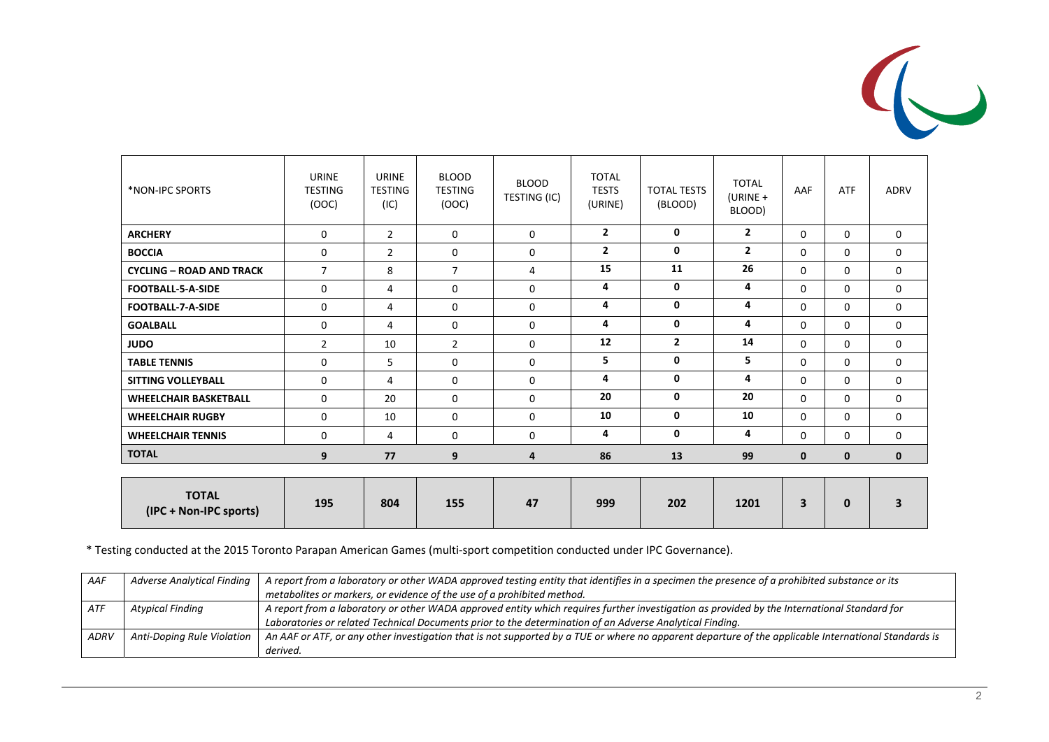

| *NON-IPC SPORTS                        | URINE<br><b>TESTING</b><br>(OOC) | URINE<br><b>TESTING</b><br>(IC) | <b>BLOOD</b><br><b>TESTING</b><br>(OOC) | <b>BLOOD</b><br>TESTING (IC) | <b>TOTAL</b><br><b>TESTS</b><br>(URINE) | <b>TOTAL TESTS</b><br>(BLOOD) | <b>TOTAL</b><br>$(URINE +$<br>BLOOD) | AAF         | <b>ATF</b>   | ADRV         |
|----------------------------------------|----------------------------------|---------------------------------|-----------------------------------------|------------------------------|-----------------------------------------|-------------------------------|--------------------------------------|-------------|--------------|--------------|
| <b>ARCHERY</b>                         | $\mathbf{0}$                     | $\overline{2}$                  | $\Omega$                                | $\mathbf 0$                  | $\overline{2}$                          | $\mathbf{0}$                  | $\mathbf{2}$                         | $\Omega$    | $\Omega$     | 0            |
| <b>BOCCIA</b>                          | $\mathbf 0$                      | $\overline{2}$                  | $\mathbf 0$                             | $\mathbf 0$                  | $\overline{2}$                          | $\mathbf{0}$                  | $\overline{2}$                       | $\Omega$    | $\Omega$     | 0            |
| <b>CYCLING - ROAD AND TRACK</b>        | $\overline{7}$                   | 8                               | $\overline{7}$                          | 4                            | 15                                      | 11                            | 26                                   | $\Omega$    | $\Omega$     | 0            |
| <b>FOOTBALL-5-A-SIDE</b>               | $\mathbf 0$                      | 4                               | $\Omega$                                | $\mathbf 0$                  | 4                                       | $\mathbf{0}$                  | 4                                    | $\Omega$    | $\Omega$     | 0            |
| <b>FOOTBALL-7-A-SIDE</b>               | $\Omega$                         | 4                               | $\Omega$                                | $\Omega$                     | 4                                       | $\mathbf{0}$                  | 4                                    | $\Omega$    | $\Omega$     | 0            |
| <b>GOALBALL</b>                        | 0                                | 4                               | $\Omega$                                | $\mathbf 0$                  | 4                                       | $\mathbf 0$                   | 4                                    | $\Omega$    | $\Omega$     | 0            |
| <b>JUDO</b>                            | $\overline{2}$                   | 10                              | $\overline{2}$                          | $\mathbf 0$                  | 12                                      | $\overline{2}$                | 14                                   | $\Omega$    | $\Omega$     | 0            |
| <b>TABLE TENNIS</b>                    | $\mathbf 0$                      | 5                               | $\Omega$                                | $\mathbf 0$                  | 5.                                      | 0                             | 5                                    | $\Omega$    | $\Omega$     | 0            |
| <b>SITTING VOLLEYBALL</b>              | 0                                | 4                               | $\Omega$                                | $\mathbf 0$                  | 4                                       | $\mathbf{0}$                  | 4                                    | $\Omega$    | $\Omega$     | 0            |
| <b>WHEELCHAIR BASKETBALL</b>           | 0                                | 20                              | 0                                       | $\mathbf 0$                  | 20                                      | 0                             | 20                                   | $\Omega$    | $\mathbf 0$  | 0            |
| <b>WHEELCHAIR RUGBY</b>                | $\Omega$                         | 10                              | $\Omega$                                | $\mathbf 0$                  | 10                                      | $\mathbf{0}$                  | 10                                   | $\Omega$    | $\Omega$     | 0            |
| <b>WHEELCHAIR TENNIS</b>               | $\Omega$                         | 4                               | $\Omega$                                | $\Omega$                     | 4                                       | $\mathbf 0$                   | 4                                    | $\Omega$    | $\Omega$     | 0            |
| <b>TOTAL</b>                           | 9                                | 77                              | 9                                       | 4                            | 86                                      | 13                            | 99                                   | $\mathbf 0$ | 0            | $\mathbf{0}$ |
|                                        |                                  |                                 |                                         |                              |                                         |                               |                                      |             |              |              |
| <b>TOTAL</b><br>(IPC + Non-IPC sports) | 195                              | 804                             | 155                                     | 47                           | 999                                     | 202                           | 1201                                 | 3           | $\mathbf{0}$ | 3            |

\* Testing conducted at the 2015 Toronto Parapan American Games (multi‐sport competition conducted under IPC Governance).

| AAF         | <b>Adverse Analytical Finding</b> | A report from a laboratory or other WADA approved testing entity that identifies in a specimen the presence of a prohibited substance or its         |
|-------------|-----------------------------------|------------------------------------------------------------------------------------------------------------------------------------------------------|
|             |                                   | metabolites or markers, or evidence of the use of a prohibited method.                                                                               |
| ATF         | Atypical Finding                  | $\,$ A report from a laboratory or other WADA approved entity which requires further investigation as provided by the International Standard for     |
|             |                                   | Laboratories or related Technical Documents prior to the determination of an Adverse Analytical Finding.                                             |
| <b>ADRV</b> | Anti-Doping Rule Violation        | An AAF or ATF, or any other investigation that is not supported by a TUE or where no apparent departure of the applicable International Standards is |
|             |                                   | derived.                                                                                                                                             |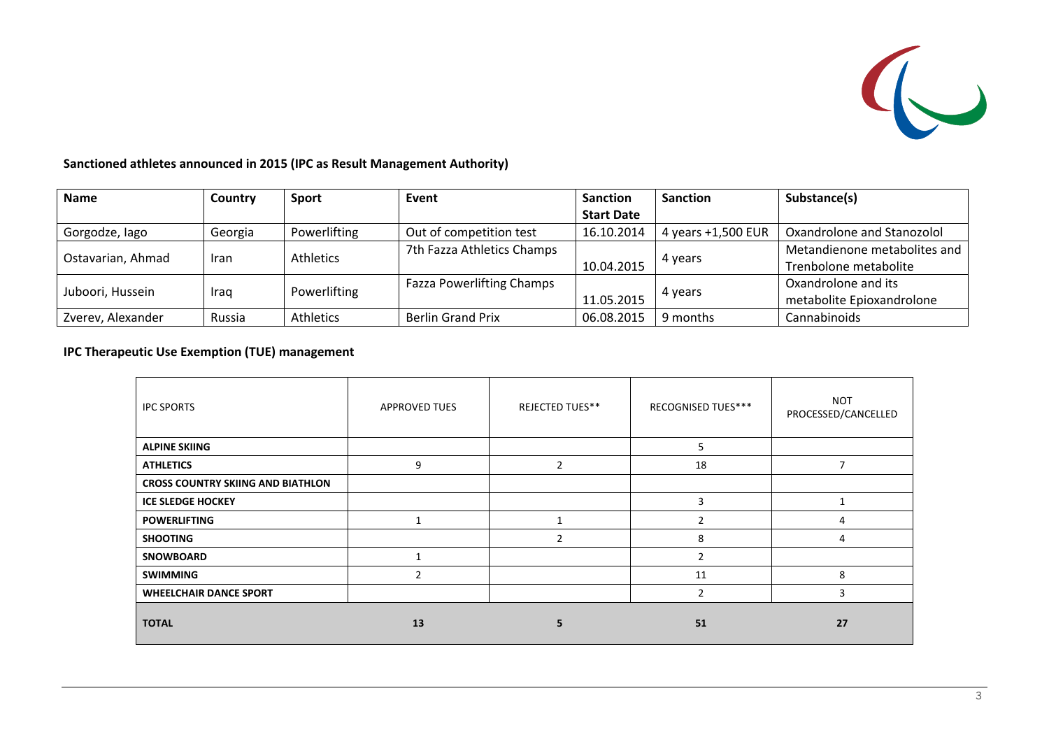

#### **Sanctioned athletes announced in 2015 (IPC as Result Management Authority)**

| <b>Name</b>              | Country     | <b>Sport</b> | Event                            | <b>Sanction</b>       | <b>Sanction</b>    | Substance(s)                 |
|--------------------------|-------------|--------------|----------------------------------|-----------------------|--------------------|------------------------------|
|                          |             |              |                                  | <b>Start Date</b>     |                    |                              |
| Gorgodze, lago           | Georgia     | Powerlifting | Out of competition test          | 16.10.2014            | 4 years +1,500 EUR | Oxandrolone and Stanozolol   |
| Ostavarian, Ahmad        |             | Athletics    | 7th Fazza Athletics Champs       |                       |                    | Metandienone metabolites and |
|                          | <b>Iran</b> |              |                                  | 10.04.2015            | 4 years            | Trenbolone metabolite        |
|                          |             |              | <b>Fazza Powerlifting Champs</b> |                       |                    | Oxandrolone and its          |
| Juboori, Hussein<br>Iraq |             | Powerlifting |                                  | 4 years<br>11.05.2015 |                    | metabolite Epioxandrolone    |
| Zverev, Alexander        | Russia      | Athletics    | <b>Berlin Grand Prix</b>         | 06.08.2015            | 9 months           | Cannabinoids                 |

### **IPC Therapeutic Use Exemption (TUE) management**

| <b>IPC SPORTS</b>                        | <b>APPROVED TUES</b> | <b>REJECTED TUES**</b> | RECOGNISED TUES*** | <b>NOT</b><br>PROCESSED/CANCELLED |
|------------------------------------------|----------------------|------------------------|--------------------|-----------------------------------|
| <b>ALPINE SKIING</b>                     |                      |                        | 5                  |                                   |
| <b>ATHLETICS</b>                         | 9                    | $\overline{2}$         | 18                 | 7                                 |
| <b>CROSS COUNTRY SKIING AND BIATHLON</b> |                      |                        |                    |                                   |
| <b>ICE SLEDGE HOCKEY</b>                 |                      |                        | 3                  |                                   |
| <b>POWERLIFTING</b>                      |                      |                        | $\overline{2}$     | 4                                 |
| <b>SHOOTING</b>                          |                      | 2                      | 8                  | 4                                 |
| <b>SNOWBOARD</b>                         |                      |                        | $\overline{2}$     |                                   |
| <b>SWIMMING</b>                          | $\overline{2}$       |                        | 11                 | 8                                 |
| <b>WHEELCHAIR DANCE SPORT</b>            |                      |                        | $\overline{2}$     | 3                                 |
| <b>TOTAL</b>                             | 13                   | 5                      | 51                 | 27                                |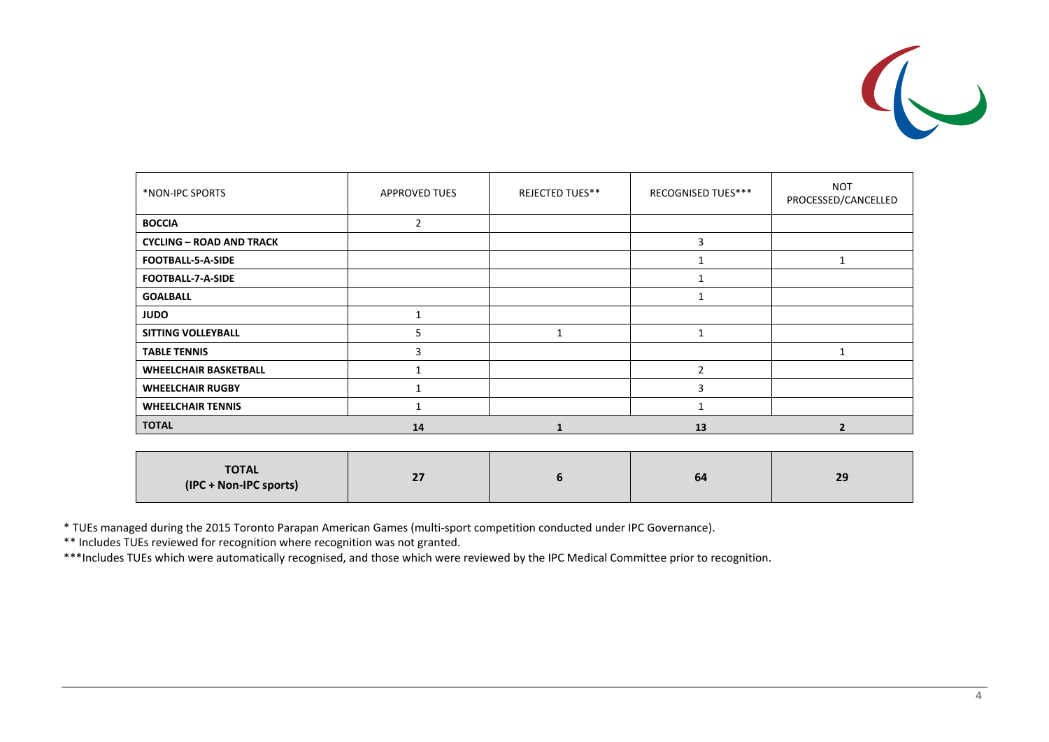

| *NON-IPC SPORTS                 | <b>APPROVED TUES</b> | <b>REJECTED TUES**</b> | RECOGNISED TUES*** | <b>NOT</b><br>PROCESSED/CANCELLED |
|---------------------------------|----------------------|------------------------|--------------------|-----------------------------------|
| <b>BOCCIA</b>                   | 2                    |                        |                    |                                   |
| <b>CYCLING - ROAD AND TRACK</b> |                      |                        | 3                  |                                   |
| FOOTBALL-5-A-SIDE               |                      |                        |                    |                                   |
| FOOTBALL-7-A-SIDE               |                      |                        |                    |                                   |
| <b>GOALBALL</b>                 |                      |                        |                    |                                   |
| <b>JUDO</b>                     |                      |                        |                    |                                   |
| <b>SITTING VOLLEYBALL</b>       |                      |                        | $\mathbf{1}$       |                                   |
| <b>TABLE TENNIS</b>             | ς                    |                        |                    |                                   |
| <b>WHEELCHAIR BASKETBALL</b>    |                      |                        | $\mathfrak{p}$     |                                   |
| <b>WHEELCHAIR RUGBY</b>         |                      |                        | 3                  |                                   |
| <b>WHEELCHAIR TENNIS</b>        |                      |                        |                    |                                   |
| <b>TOTAL</b>                    | 14                   |                        | 13                 | $\overline{2}$                    |

| <b>TOTAL</b><br>(IPC + Non-IPC sports) | $-$<br>" |  | 64 | 29 |
|----------------------------------------|----------|--|----|----|
|----------------------------------------|----------|--|----|----|

\* TUEs managed during the 2015 Toronto Parapan American Games (multi‐sport competition conducted under IPC Governance).

\*\* Includes TUEs reviewed for recognition where recognition was not granted.

\*\*\*Includes TUEs which were automatically recognised, and those which were reviewed by the IPC Medical Committee prior to recognition.